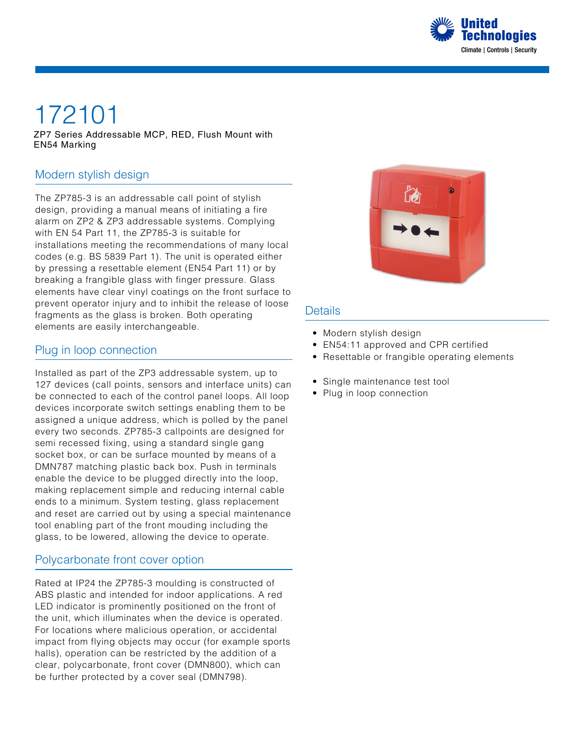

# 172101

ZP7 Series Addressable MCP, RED, Flush Mount with EN54 Marking

#### Modern stylish design

The ZP785-3 is an addressable call point of stylish design, providing a manual means of initiating a fire alarm on ZP2 & ZP3 addressable systems. Complying with EN 54 Part 11, the ZP785-3 is suitable for installations meeting the recommendations of many local codes (e.g. BS 5839 Part 1). The unit is operated either by pressing a resettable element (EN54 Part 11) or by breaking a frangible glass with finger pressure. Glass elements have clear vinyl coatings on the front surface to prevent operator injury and to inhibit the release of loose fragments as the glass is broken. Both operating elements are easily interchangeable.

#### Plug in loop connection

Installed as part of the ZP3 addressable system, up to 127 devices (call points, sensors and interface units) can be connected to each of the control panel loops. All loop devices incorporate switch settings enabling them to be assigned a unique address, which is polled by the panel every two seconds. ZP785-3 callpoints are designed for semi recessed fixing, using a standard single gang socket box, or can be surface mounted by means of a DMN787 matching plastic back box. Push in terminals enable the device to be plugged directly into the loop, making replacement simple and reducing internal cable ends to a minimum. System testing, glass replacement and reset are carried out by using a special maintenance tool enabling part of the front mouding including the glass, to be lowered, allowing the device to operate.

#### Polycarbonate front cover option

Rated at IP24 the ZP785-3 moulding is constructed of ABS plastic and intended for indoor applications. A red LED indicator is prominently positioned on the front of the unit, which illuminates when the device is operated. For locations where malicious operation, or accidental impact from flying objects may occur (for example sports halls), operation can be restricted by the addition of a clear, polycarbonate, front cover (DMN800), which can be further protected by a cover seal (DMN798).



#### **Details**

- Modern stylish design
- EN54:11 approved and CPR certified
- Resettable or frangible operating elements
- Single maintenance test tool
- Plug in loop connection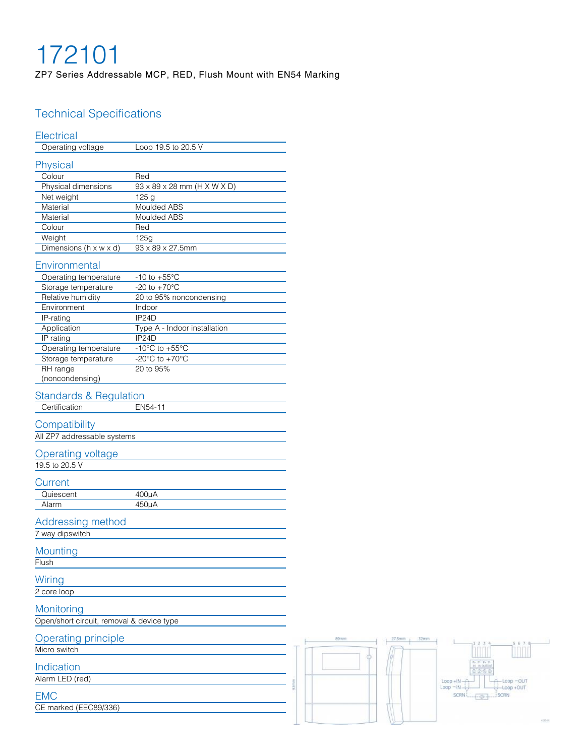## 172101

ZP7 Series Addressable MCP, RED, Flush Mount with EN54 Marking

### Technical Specifications

### **Electrical**

| <b>Electrical</b>                         |                                      |
|-------------------------------------------|--------------------------------------|
| Operating voltage                         | Loop 19.5 to 20.5 V                  |
| Physical                                  |                                      |
| Colour                                    | Red                                  |
| Physical dimensions                       | 93 x 89 x 28 mm (H X W X D)          |
| Net weight                                | 125 g                                |
| Material                                  | Moulded ABS                          |
| Material                                  | Moulded ABS                          |
| Colour                                    | Red                                  |
| Weight                                    | 125g                                 |
| Dimensions (h x w x d)                    | 93 x 89 x 27.5mm                     |
| Environmental                             |                                      |
| Operating temperature                     | -10 to $+55^{\circ}$ C               |
| Storage temperature                       | $-20$ to $+70^{\circ}$ C             |
| Relative humidity                         | 20 to 95% noncondensing              |
|                                           |                                      |
| Environment                               | Indoor<br>IP24D                      |
| IP-rating<br>Application                  | Type A - Indoor installation         |
|                                           | IP24D                                |
| IP rating<br>Operating temperature        | -10 $^{\circ}$ C to +55 $^{\circ}$ C |
|                                           | -20 $^{\circ}$ C to +70 $^{\circ}$ C |
| Storage temperature<br>RH range           | 20 to 95%                            |
| (noncondensing)                           |                                      |
|                                           |                                      |
| <b>Standards &amp; Regulation</b>         |                                      |
| Certification                             | EN54-11                              |
|                                           |                                      |
| Compatibility                             |                                      |
| All ZP7 addressable systems               |                                      |
|                                           |                                      |
| <b>Dperating voltage</b>                  |                                      |
| 19.5 to 20.5 V                            |                                      |
| Current                                   |                                      |
| Quiescent                                 |                                      |
| Alarm                                     | $400\mu A$                           |
|                                           | 450µA                                |
| Addressing method                         |                                      |
| 7 way dipswitch                           |                                      |
|                                           |                                      |
| <b>Mounting</b>                           |                                      |
| Flush                                     |                                      |
|                                           |                                      |
| Wiring                                    |                                      |
| 2 core loop                               |                                      |
| Monitoring                                |                                      |
|                                           |                                      |
| Open/short circuit, removal & device type |                                      |
| <b>Operating principle</b>                |                                      |
| Micro switch                              |                                      |
|                                           |                                      |
| Indication                                |                                      |
| Alarm LED (red)                           |                                      |
|                                           |                                      |
| <b>EMC</b>                                |                                      |
| CE marked (EEC89/336)                     |                                      |